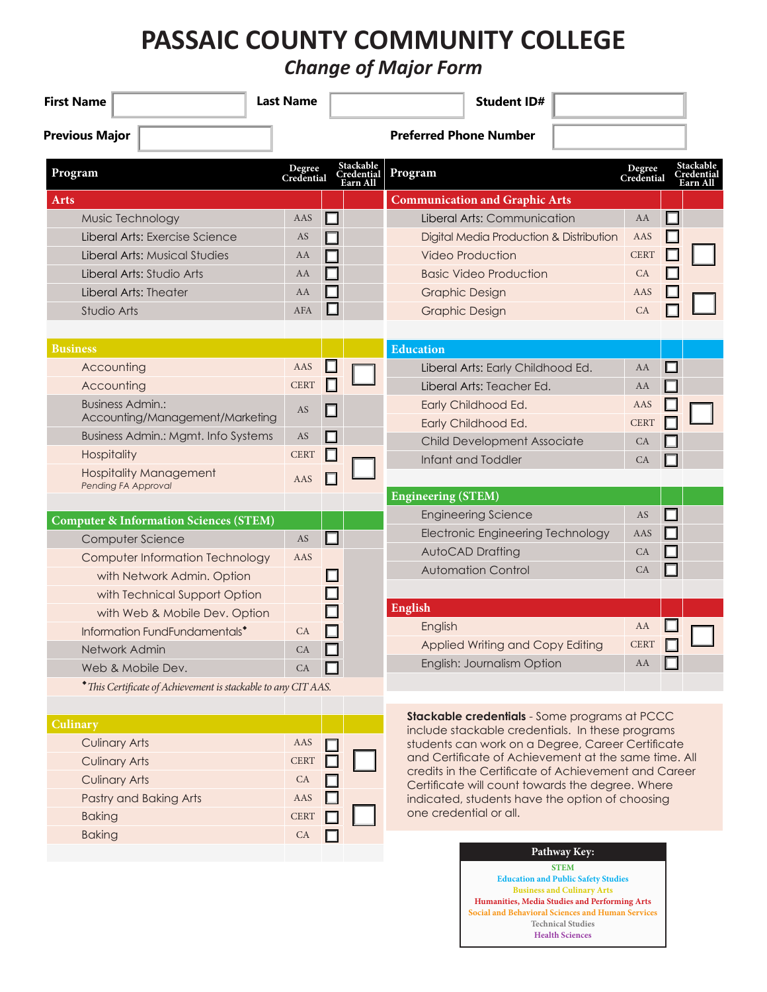## **PASSAIC COUNTY COMMUNITY COLLEGE**

*Change of Major Form*

| <b>First Name</b>                                              | <b>Last Name</b>     |                                     | <b>Student ID#</b>                                                                                    |
|----------------------------------------------------------------|----------------------|-------------------------------------|-------------------------------------------------------------------------------------------------------|
| <b>Previous Major</b>                                          |                      |                                     | <b>Preferred Phone Number</b>                                                                         |
| Program                                                        | Degree<br>Credential | Stackable<br>Credential<br>Earn All | Stackable<br>Degree<br>Program<br>Credential<br>Credential<br><u>Earn All</u>                         |
| <b>Arts</b>                                                    |                      |                                     | <b>Communication and Graphic Arts</b>                                                                 |
| Music Technology                                               | AAS                  | $\Box$                              | $\Box$<br>Liberal Arts: Communication<br>AA                                                           |
| Liberal Arts: Exercise Science                                 | AS                   |                                     | Digital Media Production & Distribution<br>AAS                                                        |
| Liberal Arts: Musical Studies                                  | AA                   |                                     | <b>CERT</b><br><b>Video Production</b>                                                                |
| Liberal Arts: Studio Arts                                      | AA                   |                                     | <b>Basic Video Production</b><br>CA                                                                   |
| Liberal Arts: Theater                                          | AA                   | $\overline{\phantom{a}}$            | <b>Graphic Design</b><br>AAS                                                                          |
| Studio Arts                                                    | <b>AFA</b>           | $\Box$                              | <b>Graphic Design</b><br>CA                                                                           |
| <b>Business</b>                                                |                      |                                     | <b>Education</b>                                                                                      |
| Accounting                                                     | AAS                  | ш                                   | $\Box$<br>Liberal Arts: Early Childhood Ed.<br>AA                                                     |
| Accounting                                                     | <b>CERT</b>          | П                                   | Liberal Arts: Teacher Ed.<br>AA                                                                       |
| <b>Business Admin.:</b>                                        | AS                   | П                                   | Early Childhood Ed.<br>AAS                                                                            |
| Accounting/Management/Marketing                                |                      |                                     | Early Childhood Ed.<br><b>CERT</b>                                                                    |
| <b>Business Admin.: Mgmt. Info Systems</b>                     | AS                   | П                                   | <b>Child Development Associate</b><br>CA                                                              |
| Hospitality                                                    | <b>CERT</b>          | $\Box$                              | Infant and Toddler<br>CA                                                                              |
| <b>Hospitality Management</b><br>Pending FA Approval           | AAS                  |                                     |                                                                                                       |
|                                                                |                      |                                     | <b>Engineering (STEM)</b>                                                                             |
| <b>Computer &amp; Information Sciences (STEM)</b>              |                      |                                     | AS<br><b>Engineering Science</b><br>$\Box$                                                            |
| Computer Science                                               | AS                   | $\Box$                              | <b>Electronic Engineering Technology</b><br>AAS                                                       |
| Computer Information Technology                                | AAS                  |                                     | <b>AutoCAD Drafting</b><br>CA                                                                         |
| with Network Admin. Option                                     |                      |                                     | <b>Automation Control</b><br>CA<br>H                                                                  |
| with Technical Support Option                                  |                      |                                     |                                                                                                       |
| with Web & Mobile Dev. Option                                  |                      |                                     | <b>English</b>                                                                                        |
| Information FundFundamentals <sup>*</sup>                      | CA                   |                                     | AA<br>English                                                                                         |
| Network Admin                                                  | CA                   |                                     | <b>CERT</b><br>Applied Writing and Copy Editing                                                       |
| Web & Mobile Dev.                                              | CA                   |                                     | English: Journalism Option<br>AA                                                                      |
| * This Certificate of Achievement is stackable to any CIT AAS. |                      |                                     |                                                                                                       |
| Culinary                                                       |                      |                                     | Stackable credentials - Some programs at PCCC                                                         |
| <b>Culinary Arts</b>                                           | AAS                  |                                     | include stackable credentials. In these programs<br>students can work on a Degree, Career Certificate |
| <b>Culinary Arts</b>                                           | <b>CERT</b>          |                                     | and Certificate of Achievement at the same time. All                                                  |
| <b>Culinary Arts</b>                                           | CA                   |                                     | credits in the Certificate of Achievement and Career                                                  |
| Pastry and Baking Arts                                         | AAS                  |                                     | Certificate will count towards the degree. Where<br>indicated, students have the option of choosing   |
| <b>Baking</b>                                                  | <b>CERT</b>          |                                     | one credential or all.                                                                                |
| <b>Baking</b>                                                  | <b>CA</b>            |                                     |                                                                                                       |
|                                                                |                      |                                     | Pathway Key:<br><b>STEM</b>                                                                           |

**Education and Public Safety Studies Business and Culinary Arts Humanities, Media Studies and Performing Arts Social and Behavioral Sciences and Human Services Technical Studies Health Sciences**